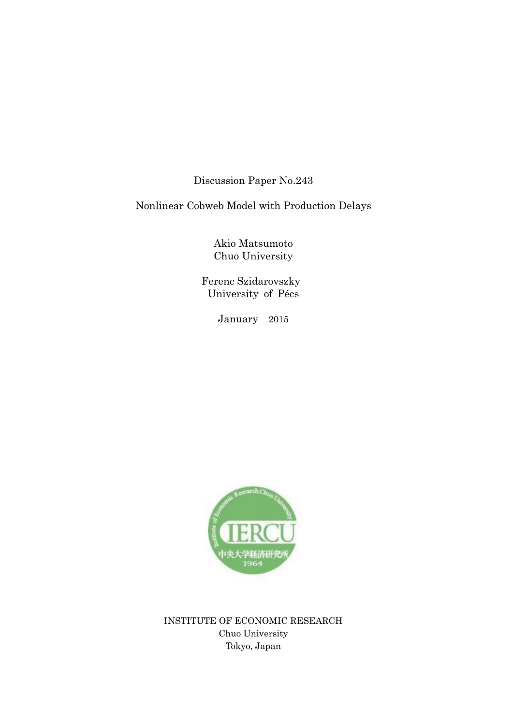Discussion Paper No.243

Nonlinear Cobweb Model with Production Delays

Akio Matsumoto Chuo University

 Ferenc Szidarovszky University of Pécs

January 2015



INSTITUTE OF ECONOMIC RESEARCH Chuo University Tokyo, Japan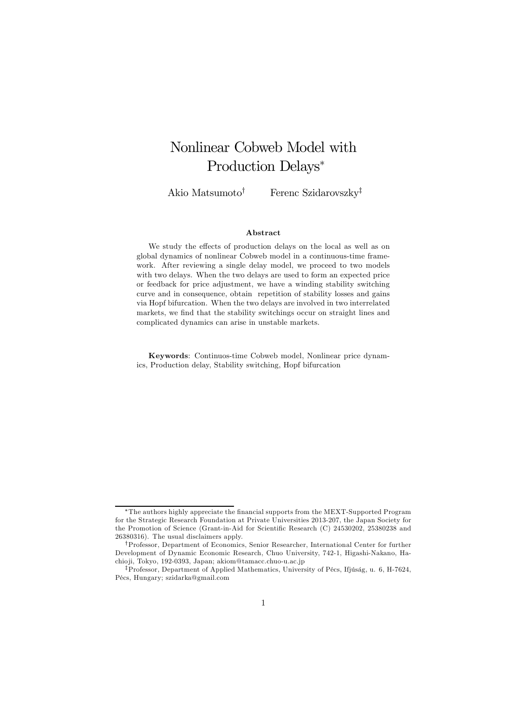# Nonlinear Cobweb Model with Production Delays<sup>∗</sup>

Akio Matsumoto<sup>†</sup> Ferenc Szidarovszky<sup>‡</sup>

### Abstract

We study the effects of production delays on the local as well as on global dynamics of nonlinear Cobweb model in a continuous-time framework. After reviewing a single delay model, we proceed to two models with two delays. When the two delays are used to form an expected price or feedback for price adjustment, we have a winding stability switching curve and in consequence, obtain repetition of stability losses and gains via Hopf bifurcation. When the two delays are involved in two interrelated markets, we find that the stability switchings occur on straight lines and complicated dynamics can arise in unstable markets.

Keywords: Continuos-time Cobweb model, Nonlinear price dynamics, Production delay, Stability switching, Hopf bifurcation

<sup>∗</sup>The authors highly appreciate the financial supports from the MEXT-Supported Program for the Strategic Research Foundation at Private Universities 2013-207, the Japan Society for the Promotion of Science (Grant-in-Aid for Scientific Research (C) 24530202, 25380238 and 26380316). The usual disclaimers apply.

<sup>†</sup>Professor, Department of Economics, Senior Researcher, International Center for further Development of Dynamic Economic Research, Chuo University, 742-1, Higashi-Nakano, Hachio ji, Tokyo, 192-0393, Japan; akiom@tamacc.chuo-u.ac.jp

<sup>‡</sup>Professor, Department of Applied Mathematics, University of Pécs, Ifjúság, u. 6, H-7624, Pécs, Hungary; szidarka@gmail.com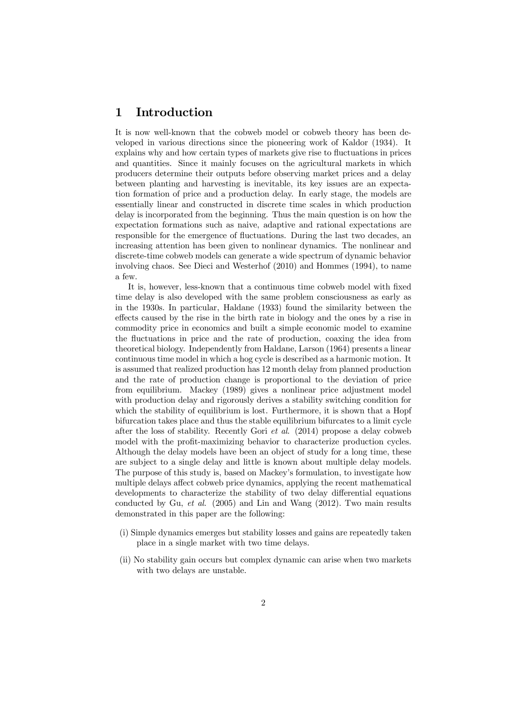# 1 Introduction

It is now well-known that the cobweb model or cobweb theory has been developed in various directions since the pioneering work of Kaldor (1934). It explains why and how certain types of markets give rise to fluctuations in prices and quantities. Since it mainly focuses on the agricultural markets in which producers determine their outputs before observing market prices and a delay between planting and harvesting is inevitable, its key issues are an expectation formation of price and a production delay. In early stage, the models are essentially linear and constructed in discrete time scales in which production delay is incorporated from the beginning. Thus the main question is on how the expectation formations such as naive, adaptive and rational expectations are responsible for the emergence of fluctuations. During the last two decades, an increasing attention has been given to nonlinear dynamics. The nonlinear and discrete-time cobweb models can generate a wide spectrum of dynamic behavior involving chaos. See Dieci and Westerhof (2010) and Hommes (1994), to name a few.

It is, however, less-known that a continuous time cobweb model with fixed time delay is also developed with the same problem consciousness as early as in the 1930s. In particular, Haldane (1933) found the similarity between the effects caused by the rise in the birth rate in biology and the ones by a rise in commodity price in economics and built a simple economic model to examine the fluctuations in price and the rate of production, coaxing the idea from theoretical biology. Independently from Haldane, Larson (1964) presents a linear continuous time model in which a hog cycle is described as a harmonic motion. It is assumed that realized production has 12 month delay from planned production and the rate of production change is proportional to the deviation of price from equilibrium. Mackey (1989) gives a nonlinear price adjustment model with production delay and rigorously derives a stability switching condition for which the stability of equilibrium is lost. Furthermore, it is shown that a Hopf bifurcation takes place and thus the stable equilibrium bifurcates to a limit cycle after the loss of stability. Recently Gori et al. (2014) propose a delay cobweb model with the profit-maximizing behavior to characterize production cycles. Although the delay models have been an object of study for a long time, these are subject to a single delay and little is known about multiple delay models. The purpose of this study is, based on Mackey's formulation, to investigate how multiple delays affect cobweb price dynamics, applying the recent mathematical developments to characterize the stability of two delay differential equations conducted by Gu, et al. (2005) and Lin and Wang (2012). Two main results demonstrated in this paper are the following:

- (i) Simple dynamics emerges but stability losses and gains are repeatedly taken place in a single market with two time delays.
- (ii) No stability gain occurs but complex dynamic can arise when two markets with two delays are unstable.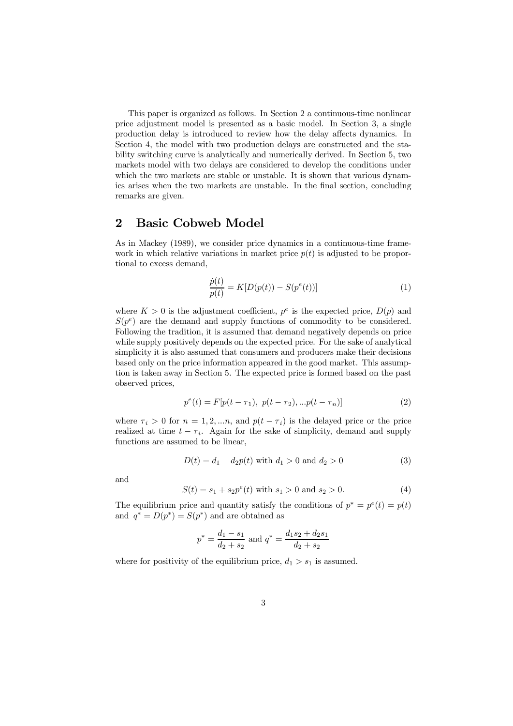This paper is organized as follows. In Section 2 a continuous-time nonlinear price adjustment model is presented as a basic model. In Section 3, a single production delay is introduced to review how the delay affects dynamics. In Section 4, the model with two production delays are constructed and the stability switching curve is analytically and numerically derived. In Section 5, two markets model with two delays are considered to develop the conditions under which the two markets are stable or unstable. It is shown that various dynamics arises when the two markets are unstable. In the final section, concluding remarks are given.

## 2 Basic Cobweb Model

As in Mackey (1989), we consider price dynamics in a continuous-time framework in which relative variations in market price  $p(t)$  is adjusted to be proportional to excess demand,

$$
\frac{\dot{p}(t)}{p(t)} = K[D(p(t)) - S(p^{e}(t))]
$$
\n(1)

where  $K > 0$  is the adjustment coefficient,  $p^e$  is the expected price,  $D(p)$  and  $S(p<sup>e</sup>)$  are the demand and supply functions of commodity to be considered. Following the tradition, it is assumed that demand negatively depends on price while supply positively depends on the expected price. For the sake of analytical simplicity it is also assumed that consumers and producers make their decisions based only on the price information appeared in the good market. This assumption is taken away in Section 5. The expected price is formed based on the past observed prices,

$$
p^{e}(t) = F[p(t - \tau_{1}), \ p(t - \tau_{2}), ... p(t - \tau_{n})]
$$
\n(2)

where  $\tau_i > 0$  for  $n = 1, 2, \dots n$ , and  $p(t - \tau_i)$  is the delayed price or the price realized at time  $t - \tau_i$ . Again for the sake of simplicity, demand and supply functions are assumed to be linear,

$$
D(t) = d_1 - d_2 p(t) \text{ with } d_1 > 0 \text{ and } d_2 > 0 \tag{3}
$$

and

$$
S(t) = s_1 + s_2 p^e(t) \text{ with } s_1 > 0 \text{ and } s_2 > 0. \tag{4}
$$

The equilibrium price and quantity satisfy the conditions of  $p^* = p^e(t) = p(t)$ and  $q^* = D(p^*) = S(p^*)$  and are obtained as

$$
p^* = \frac{d_1 - s_1}{d_2 + s_2}
$$
 and 
$$
q^* = \frac{d_1 s_2 + d_2 s_1}{d_2 + s_2}
$$

where for positivity of the equilibrium price,  $d_1 > s_1$  is assumed.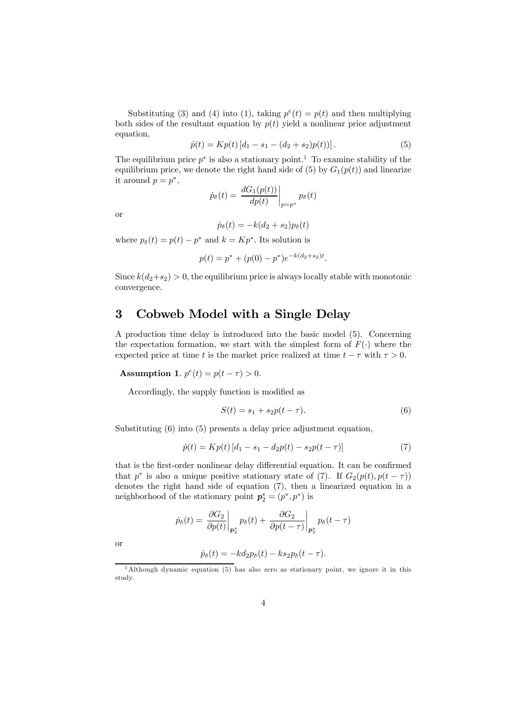Substituting (3) and (4) into (1), taking  $p^{e}(t) = p(t)$  and then multiplying both sides of the resultant equation by  $p(t)$  yield a nonlinear price adjustment equation,

$$
\dot{p}(t) = Kp(t) \left[ d_1 - s_1 - (d_2 + s_2)p(t) \right]. \tag{5}
$$

The equilibrium price  $p^*$  is also a stationary point.<sup>1</sup> To examine stability of the equilibrium price, we denote the right hand side of (5) by  $G_1(p(t))$  and linearize it around  $p = p^*$ ,

$$
\dot{p}_{\delta}(t) = \left. \frac{dG_1(p(t))}{dp(t)} \right|_{p=p^*} p_{\delta}(t)
$$

or

$$
\dot{p}_{\delta}(t) = -k(d_2 + s_2)p_{\delta}(t)
$$

where  $p_{\delta}(t) = p(t) - p^*$  and  $k = Kp^*$ . Its solution is

$$
p(t) = p^* + (p(0) - p^*)e^{-k(d_2 + s_2)t}.
$$

Since  $k(d_2+s_2) > 0$ , the equilibrium price is always locally stable with monotonic convergence.

# 3 Cobweb Model with a Single Delay

A production time delay is introduced into the basic model (5). Concerning the expectation formation, we start with the simplest form of  $F(\cdot)$  where the expected price at time t is the market price realized at time  $t - \tau$  with  $\tau > 0$ .

**Assumption 1.**  $p^{e}(t) = p(t - \tau) > 0$ .

Accordingly, the supply function is modified as

$$
S(t) = s_1 + s_2 p(t - \tau).
$$
 (6)

Substituting  $(6)$  into  $(5)$  presents a delay price adjustment equation,

$$
\dot{p}(t) = Kp(t) \left[ d_1 - s_1 - d_2p(t) - s_2p(t - \tau) \right] \tag{7}
$$

that is the first-order nonlinear delay differential equation. It can be confirmed that  $p^*$  is also a unique positive stationary state of (7). If  $G_2(p(t), p(t-\tau))$ denotes the right hand side of equation (7), then a linearized equation in a neighborhood of the stationary point  $p_2^* = (p^*, p^*)$  is

$$
\dot{p}_{\delta}(t) = \left. \frac{\partial G_2}{\partial p(t)} \right|_{\mathbf{p}_2^*} p_{\delta}(t) + \left. \frac{\partial G_2}{\partial p(t-\tau)} \right|_{\mathbf{p}_2^*} p_{\delta}(t-\tau)
$$

or

$$
\dot{p}_{\delta}(t) = -k d_2 p_{\delta}(t) - k s_2 p_{\delta}(t-\tau).
$$

<sup>1</sup>Although dynamic equation (5) has also zero as stationary point, we ignore it in this study.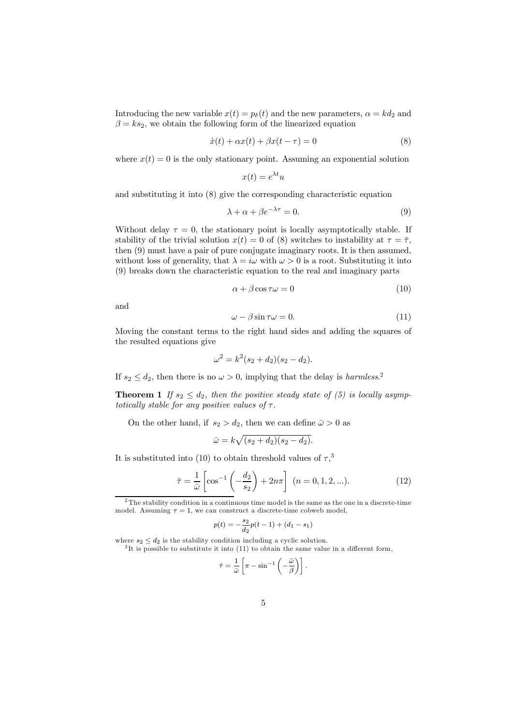Introducing the new variable  $x(t) = p_{\delta}(t)$  and the new parameters,  $\alpha = kd_2$  and  $\beta = ks_2$ , we obtain the following form of the linearized equation

$$
\dot{x}(t) + \alpha x(t) + \beta x(t - \tau) = 0 \tag{8}
$$

where  $x(t) = 0$  is the only stationary point. Assuming an exponential solution

$$
x(t) = e^{\lambda t}u
$$

and substituting it into (8) give the corresponding characteristic equation

$$
\lambda + \alpha + \beta e^{-\lambda \tau} = 0. \tag{9}
$$

Without delay  $\tau = 0$ , the stationary point is locally asymptotically stable. If stability of the trivial solution  $x(t) = 0$  of (8) switches to instability at  $\tau = \overline{\tau}$ , then (9) must have a pair of pure conjugate imaginary roots. It is then assumed, without loss of generality, that  $\lambda = i\omega$  with  $\omega > 0$  is a root. Substituting it into (9) breaks down the characteristic equation to the real and imaginary parts

$$
\alpha + \beta \cos \tau \omega = 0 \tag{10}
$$

and

$$
\omega - \beta \sin \tau \omega = 0. \tag{11}
$$

Moving the constant terms to the right hand sides and adding the squares of the resulted equations give

$$
\omega^2 = k^2(s_2 + d_2)(s_2 - d_2).
$$

If  $s_2 \leq d_2$ , then there is no  $\omega > 0$ , implying that the delay is *harmless*.<sup>2</sup>

**Theorem 1** If  $s_2 \leq d_2$ , then the positive steady state of (5) is locally asymptotically stable for any positive values of  $\tau$ .

On the other hand, if  $s_2 > d_2$ , then we can define  $\bar{\omega} > 0$  as

$$
\bar{\omega}=k\sqrt{(s_2+d_2)(s_2-d_2)}.
$$

It is substituted into (10) to obtain threshold values of  $\tau$ ,<sup>3</sup>

$$
\bar{\tau} = \frac{1}{\bar{\omega}} \left[ \cos^{-1} \left( -\frac{d_2}{s_2} \right) + 2n\pi \right] \ (n = 0, 1, 2, \ldots). \tag{12}
$$

$$
p(t) = -\frac{s_2}{d_2}p(t-1) + (d_1 - s_1)
$$

where  $s_2 \leq d_2$  is the stability condition including a cyclic solution.

 ${}^{3}$ It is possible to substitute it into (11) to obtain the same value in a different form,

$$
\bar{\tau} = \frac{1}{\bar{\omega}} \left[ \pi - \sin^{-1} \left( -\frac{\bar{\omega}}{\beta} \right) \right].
$$

<sup>&</sup>lt;sup>2</sup>The stability condition in a continuous time model is the same as the one in a discrete-time model. Assuming  $\tau = 1$ , we can construct a discrete-time cobweb model,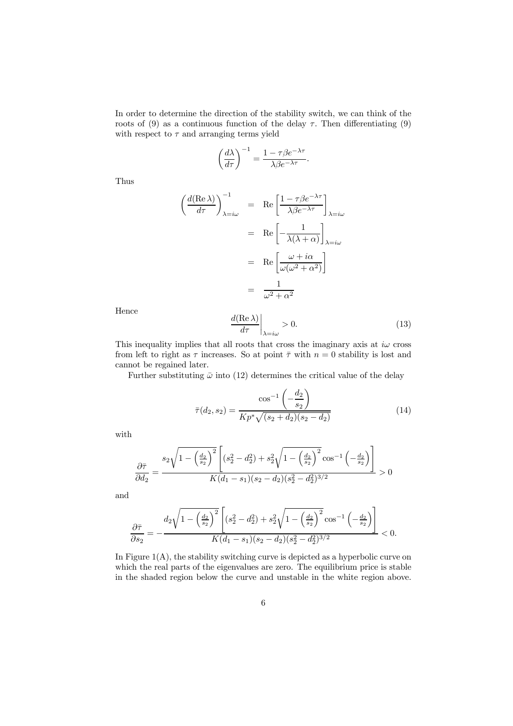In order to determine the direction of the stability switch, we can think of the roots of (9) as a continuous function of the delay  $\tau$ . Then differentiating (9) with respect to  $\tau$  and arranging terms yield

$$
\left(\frac{d\lambda}{d\tau}\right)^{-1} = \frac{1 - \tau \beta e^{-\lambda \tau}}{\lambda \beta e^{-\lambda \tau}}.
$$

Thus

$$
\left(\frac{d(\text{Re }\lambda)}{d\tau}\right)_{\lambda=i\omega}^{-1} = \text{Re}\left[\frac{1-\tau\beta e^{-\lambda\tau}}{\lambda\beta e^{-\lambda\tau}}\right]_{\lambda=i\omega}
$$

$$
= \text{Re}\left[-\frac{1}{\lambda(\lambda+\alpha)}\right]_{\lambda=i\omega}
$$

$$
= \text{Re}\left[\frac{\omega+i\alpha}{\omega(\omega^2+\alpha^2)}\right]
$$

$$
= \frac{1}{\omega^2+\alpha^2}
$$

Hence

$$
\left. \frac{d(\text{Re }\lambda)}{d\tau} \right|_{\lambda = i\omega} > 0. \tag{13}
$$

This inequality implies that all roots that cross the imaginary axis at  $i\omega$  cross from left to right as  $\tau$  increases. So at point  $\bar{\tau}$  with  $n = 0$  stability is lost and cannot be regained later.

Further substituting  $\bar{\omega}$  into (12) determines the critical value of the delay

$$
\bar{\tau}(d_2, s_2) = \frac{\cos^{-1}\left(-\frac{d_2}{s_2}\right)}{Kp^*\sqrt{(s_2 + d_2)(s_2 - d_2)}}\tag{14}
$$

with

$$
\frac{\partial \bar{\tau}}{\partial d_2} = \frac{s_2 \sqrt{1 - \left(\frac{d_2}{s_2}\right)^2} \left[ (s_2^2 - d_2^2) + s_2^2 \sqrt{1 - \left(\frac{d_2}{s_2}\right)^2} \cos^{-1} \left(-\frac{d_2}{s_2}\right) \right]}{K(d_1 - s_1)(s_2 - d_2)(s_2^2 - d_2^2)^{3/2}} > 0
$$

and

$$
\frac{\partial \overline{\tau}}{\partial s_2} = -\frac{d_2 \sqrt{1 - \left(\frac{d_2}{s_2}\right)^2} \left[ (s_2^2 - d_2^2) + s_2^2 \sqrt{1 - \left(\frac{d_2}{s_2}\right)^2} \cos^{-1} \left(-\frac{d_2}{s_2}\right) \right]}{K(d_1 - s_1)(s_2 - d_2)(s_2^2 - d_2^2)^{3/2}} < 0.
$$

In Figure  $1(A)$ , the stability switching curve is depicted as a hyperbolic curve on which the real parts of the eigenvalues are zero. The equilibrium price is stable in the shaded region below the curve and unstable in the white region above.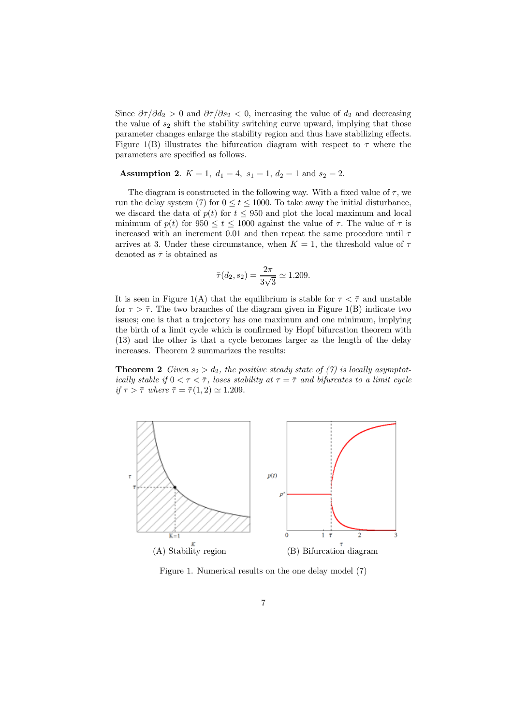Since  $\partial \overline{\tau}/\partial d_2 > 0$  and  $\partial \overline{\tau}/\partial s_2 < 0$ , increasing the value of  $d_2$  and decreasing the value of  $s_2$  shift the stability switching curve upward, implying that those parameter changes enlarge the stability region and thus have stabilizing effects. Figure 1(B) illustrates the bifurcation diagram with respect to  $\tau$  where the parameters are specified as follows.

### Assumption 2.  $K = 1$ ,  $d_1 = 4$ ,  $s_1 = 1$ ,  $d_2 = 1$  and  $s_2 = 2$ .

The diagram is constructed in the following way. With a fixed value of  $\tau$ , we run the delay system (7) for  $0 \le t \le 1000$ . To take away the initial disturbance, we discard the data of  $p(t)$  for  $t \leq 950$  and plot the local maximum and local minimum of  $p(t)$  for  $950 \le t \le 1000$  against the value of  $\tau$ . The value of  $\tau$  is increased with an increment 0.01 and then repeat the same procedure until  $\tau$ arrives at 3. Under these circumstance, when  $K = 1$ , the threshold value of  $\tau$ denoted as  $\bar{\tau}$  is obtained as

$$
\bar{\tau}(d_2, s_2) = \frac{2\pi}{3\sqrt{3}} \simeq 1.209.
$$

It is seen in Figure 1(A) that the equilibrium is stable for  $\tau < \bar{\tau}$  and unstable for  $\tau > \overline{\tau}$ . The two branches of the diagram given in Figure 1(B) indicate two issues; one is that a trajectory has one maximum and one minimum, implying the birth of a limit cycle which is confirmed by Hopf bifurcation theorem with (13) and the other is that a cycle becomes larger as the length of the delay increases. Theorem 2 summarizes the results:

**Theorem 2** Given  $s_2 > d_2$ , the positive steady state of (7) is locally asymptotically stable if  $0 < \tau < \overline{\tau}$ , loses stability at  $\tau = \overline{\tau}$  and bifurcates to a limit cycle if  $\tau > \overline{\tau}$  where  $\overline{\tau} = \overline{\tau}(1, 2) \simeq 1.209$ .



Figure 1. Numerical results on the one delay model (7)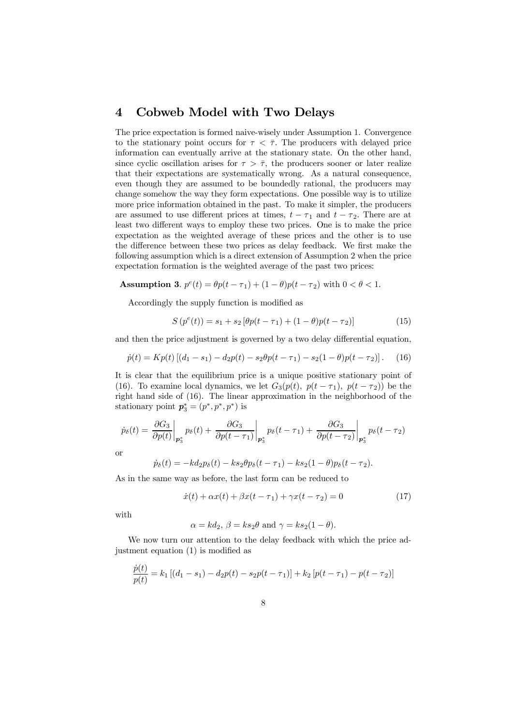## 4 Cobweb Model with Two Delays

The price expectation is formed naive-wisely under Assumption 1. Convergence to the stationary point occurs for  $\tau < \overline{\tau}$ . The producers with delayed price information can eventually arrive at the stationary state. On the other hand, since cyclic oscillation arises for  $\tau > \overline{\tau}$ , the producers sooner or later realize that their expectations are systematically wrong. As a natural consequence, even though they are assumed to be boundedly rational, the producers may change somehow the way they form expectations. One possible way is to utilize more price information obtained in the past. To make it simpler, the producers are assumed to use different prices at times,  $t - \tau_1$  and  $t - \tau_2$ . There are at least two different ways to employ these two prices. One is to make the price expectation as the weighted average of these prices and the other is to use the difference between these two prices as delay feedback. We first make the following assumption which is a direct extension of Assumption 2 when the price expectation formation is the weighted average of the past two prices:

**Assumption 3.**  $p^{e}(t) = \theta p(t - \tau_1) + (1 - \theta)p(t - \tau_2)$  with  $0 < \theta < 1$ .

Accordingly the supply function is modified as

$$
S(p^{e}(t)) = s_1 + s_2 [\theta p(t - \tau_1) + (1 - \theta)p(t - \tau_2)] \tag{15}
$$

and then the price adjustment is governed by a two delay differential equation,

$$
\dot{p}(t) = Kp(t) \left[ (d_1 - s_1) - d_2p(t) - s_2\theta p(t - \tau_1) - s_2(1 - \theta)p(t - \tau_2) \right].
$$
 (16)

It is clear that the equilibrium price is a unique positive stationary point of (16). To examine local dynamics, we let  $G_3(p(t), p(t - \tau_1), p(t - \tau_2))$  be the right hand side of (16). The linear approximation in the neighborhood of the stationary point  $p_3^* = (p^*, p^*, p^*)$  is

$$
\dot{p}_{\delta}(t) = \frac{\partial G_3}{\partial p(t)}\bigg|_{\mathbf{p}_3^*} p_{\delta}(t) + \frac{\partial G_3}{\partial p(t-\tau_1)}\bigg|_{\mathbf{p}_3^*} p_{\delta}(t-\tau_1) + \frac{\partial G_3}{\partial p(t-\tau_2)}\bigg|_{\mathbf{p}_3^*} p_{\delta}(t-\tau_2)
$$

or

$$
\dot{p}_{\delta}(t) = -k d_2 p_{\delta}(t) - k s_2 \theta p_{\delta}(t - \tau_1) - k s_2 (1 - \theta) p_{\delta}(t - \tau_2).
$$

As in the same way as before, the last form can be reduced to

$$
\dot{x}(t) + \alpha x(t) + \beta x(t - \tau_1) + \gamma x(t - \tau_2) = 0 \tag{17}
$$

with

$$
\alpha = kd_2
$$
,  $\beta = ks_2\theta$  and  $\gamma = ks_2(1 - \theta)$ .

We now turn our attention to the delay feedback with which the price adjustment equation (1) is modified as

$$
\frac{\dot{p}(t)}{p(t)} = k_1 \left[ (d_1 - s_1) - d_2 p(t) - s_2 p(t - \tau_1) \right] + k_2 \left[ p(t - \tau_1) - p(t - \tau_2) \right]
$$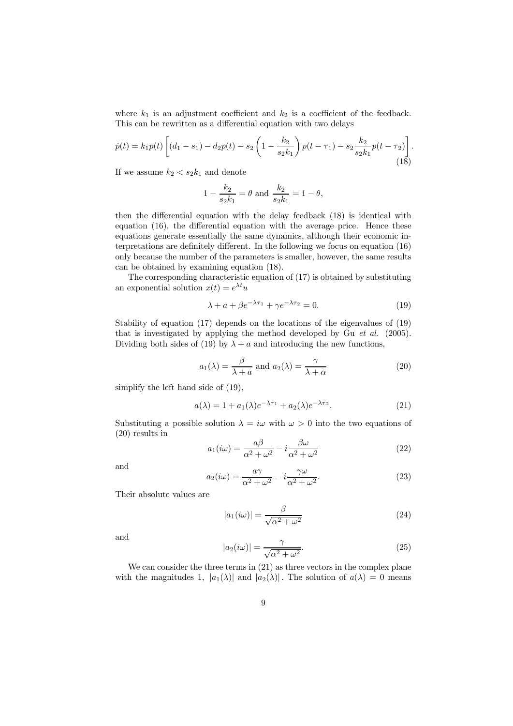where  $k_1$  is an adjustment coefficient and  $k_2$  is a coefficient of the feedback. This can be rewritten as a differential equation with two delays

$$
\dot{p}(t) = k_1 p(t) \left[ (d_1 - s_1) - d_2 p(t) - s_2 \left( 1 - \frac{k_2}{s_2 k_1} \right) p(t - \tau_1) - s_2 \frac{k_2}{s_2 k_1} p(t - \tau_2) \right].
$$
\n(18)

If we assume  $k_2 < s_2 k_1$  and denote

$$
1 - \frac{k_2}{s_2 k_1} = \theta
$$
 and  $\frac{k_2}{s_2 k_1} = 1 - \theta$ ,

then the differential equation with the delay feedback (18) is identical with equation (16), the differential equation with the average price. Hence these equations generate essentially the same dynamics, although their economic interpretations are definitely different. In the following we focus on equation (16) only because the number of the parameters is smaller, however, the same results can be obtained by examining equation (18).

The corresponding characteristic equation of (17) is obtained by substituting an exponential solution  $x(t) = e^{\lambda t}u$ 

$$
\lambda + a + \beta e^{-\lambda \tau_1} + \gamma e^{-\lambda \tau_2} = 0. \tag{19}
$$

Stability of equation (17) depends on the locations of the eigenvalues of (19) that is investigated by applying the method developed by Gu et al. (2005). Dividing both sides of (19) by  $\lambda + a$  and introducing the new functions,

$$
a_1(\lambda) = \frac{\beta}{\lambda + a} \text{ and } a_2(\lambda) = \frac{\gamma}{\lambda + \alpha} \tag{20}
$$

simplify the left hand side of (19),

$$
a(\lambda) = 1 + a_1(\lambda)e^{-\lambda \tau_1} + a_2(\lambda)e^{-\lambda \tau_2}.
$$
 (21)

Substituting a possible solution  $\lambda = i\omega$  with  $\omega > 0$  into the two equations of (20) results in

$$
a_1(i\omega) = \frac{a\beta}{\alpha^2 + \omega^2} - i\frac{\beta\omega}{\alpha^2 + \omega^2}
$$
 (22)

and

$$
a_2(i\omega) = \frac{a\gamma}{\alpha^2 + \omega^2} - i\frac{\gamma\omega}{\alpha^2 + \omega^2}.
$$
 (23)

Their absolute values are

$$
|a_1(i\omega)| = \frac{\beta}{\sqrt{\alpha^2 + \omega^2}}
$$
\n(24)

and

$$
|a_2(i\omega)| = \frac{\gamma}{\sqrt{\alpha^2 + \omega^2}}.\tag{25}
$$

We can consider the three terms in (21) as three vectors in the complex plane with the magnitudes 1,  $|a_1(\lambda)|$  and  $|a_2(\lambda)|$ . The solution of  $a(\lambda) = 0$  means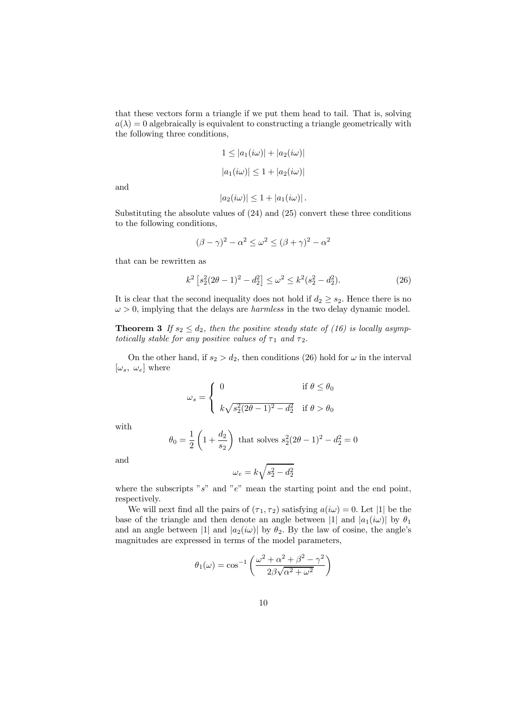that these vectors form a triangle if we put them head to tail. That is, solving  $a(\lambda) = 0$  algebraically is equivalent to constructing a triangle geometrically with the following three conditions,

$$
1 \le |a_1(i\omega)| + |a_2(i\omega)|
$$
  

$$
|a_1(i\omega)| \le 1 + |a_2(i\omega)|
$$

and

$$
|a_2(i\omega)| \leq 1 + |a_1(i\omega)|.
$$

Substituting the absolute values of (24) and (25) convert these three conditions to the following conditions,

$$
(\beta - \gamma)^2 - \alpha^2 \le \omega^2 \le (\beta + \gamma)^2 - \alpha^2
$$

that can be rewritten as

$$
k^2 \left[ s_2^2 (2\theta - 1)^2 - d_2^2 \right] \le \omega^2 \le k^2 (s_2^2 - d_2^2). \tag{26}
$$

It is clear that the second inequality does not hold if  $d_2 \geq s_2$ . Hence there is no  $\omega > 0$ , implying that the delays are *harmless* in the two delay dynamic model.

**Theorem 3** If  $s_2 \leq d_2$ , then the positive steady state of (16) is locally asymptotically stable for any positive values of  $\tau_1$  and  $\tau_2$ .

On the other hand, if  $s_2 > d_2$ , then conditions (26) hold for  $\omega$  in the interval  $[\omega_s, \omega_e]$  where

$$
\omega_s = \begin{cases}\n0 & \text{if } \theta \le \theta_0 \\
k\sqrt{s_2^2(2\theta - 1)^2 - d_2^2} & \text{if } \theta > \theta_0\n\end{cases}
$$

with

$$
\theta_0 = \frac{1}{2} \left( 1 + \frac{d_2}{s_2} \right)
$$
 that solves  $s_2^2 (2\theta - 1)^2 - d_2^2 = 0$ 

and

$$
\omega_e = k\sqrt{s_2^2 - d_2^2}
$$

where the subscripts "s" and "e" mean the starting point and the end point, respectively.

We will next find all the pairs of  $(\tau_1, \tau_2)$  satisfying  $a(i\omega) = 0$ . Let |1| be the base of the triangle and then denote an angle between |1| and  $|a_1(i\omega)|$  by  $\theta_1$ and an angle between |1| and  $|a_2(i\omega)|$  by  $\theta_2$ . By the law of cosine, the angle's magnitudes are expressed in terms of the model parameters,

$$
\theta_1(\omega) = \cos^{-1}\left(\frac{\omega^2 + \alpha^2 + \beta^2 - \gamma^2}{2\beta\sqrt{\alpha^2 + \omega^2}}\right)
$$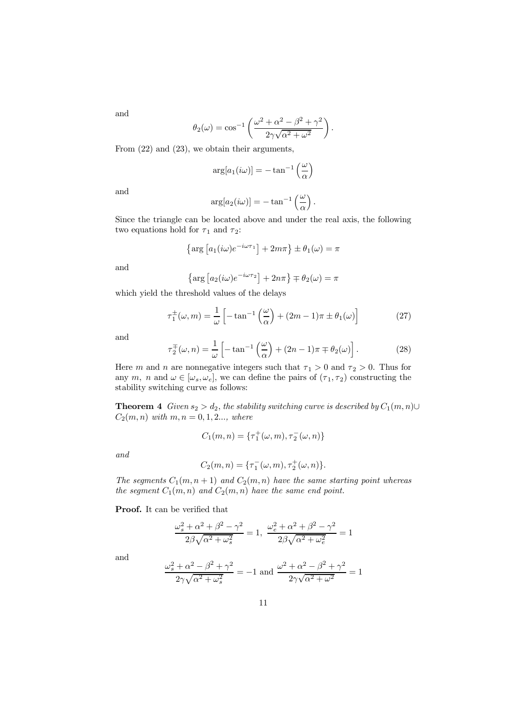and

$$
\theta_2(\omega) = \cos^{-1}\left(\frac{\omega^2 + \alpha^2 - \beta^2 + \gamma^2}{2\gamma\sqrt{\alpha^2 + \omega^2}}\right).
$$

From (22) and (23), we obtain their arguments,

$$
\arg[a_1(i\omega)] = -\tan^{-1}\left(\frac{\omega}{\alpha}\right)
$$

and

$$
\arg[a_2(i\omega)] = -\tan^{-1}\left(\frac{\omega}{\alpha}\right).
$$

Since the triangle can be located above and under the real axis, the following two equations hold for  $\tau_1$  and  $\tau_2$ :

$$
\left\{\arg\left[a_1(i\omega)e^{-i\omega\tau_1}\right] + 2m\pi\right\} \pm \theta_1(\omega) = \pi
$$

and

$$
\left\{\arg\left[a_2(i\omega)e^{-i\omega\tau_2}\right]+2n\pi\right\}\mp\theta_2(\omega)=\pi
$$

which yield the threshold values of the delays

$$
\tau_1^{\pm}(\omega, m) = \frac{1}{\omega} \left[ -\tan^{-1}\left(\frac{\omega}{\alpha}\right) + (2m - 1)\pi \pm \theta_1(\omega) \right] \tag{27}
$$

and

$$
\tau_2^{\pm}(\omega, n) = \frac{1}{\omega} \left[ -\tan^{-1} \left( \frac{\omega}{\alpha} \right) + (2n - 1)\pi \mp \theta_2(\omega) \right]. \tag{28}
$$

Here m and n are nonnegative integers such that  $\tau_1 > 0$  and  $\tau_2 > 0$ . Thus for any m, n and  $\omega \in [\omega_s, \omega_e]$ , we can define the pairs of  $(\tau_1, \tau_2)$  constructing the stability switching curve as follows:

**Theorem 4** Given  $s_2 > d_2$ , the stability switching curve is described by  $C_1(m, n) \cup$  $C_2(m, n)$  with  $m, n = 0, 1, 2...$ , where

$$
C_1(m, n) = \{\tau_1^+(\omega, m), \tau_2^-(\omega, n)\}
$$

and

$$
C_2(m, n) = \{\tau_1^-(\omega, m), \tau_2^+(\omega, n)\}.
$$

The segments  $C_1(m, n+1)$  and  $C_2(m, n)$  have the same starting point whereas the segment  $C_1(m, n)$  and  $C_2(m, n)$  have the same end point.

Proof. It can be verified that

$$
\frac{\omega_s^2+\alpha^2+\beta^2-\gamma^2}{2\beta\sqrt{\alpha^2+\omega_s^2}}=1,\;\frac{\omega_e^2+\alpha^2+\beta^2-\gamma^2}{2\beta\sqrt{\alpha^2+\omega_e^2}}=1
$$

and

$$
\frac{\omega_s^2+\alpha^2-\beta^2+\gamma^2}{2\gamma\sqrt{\alpha^2+\omega_s^2}}=-1\text{ and }\frac{\omega^2+\alpha^2-\beta^2+\gamma^2}{2\gamma\sqrt{\alpha^2+\omega^2}}=1
$$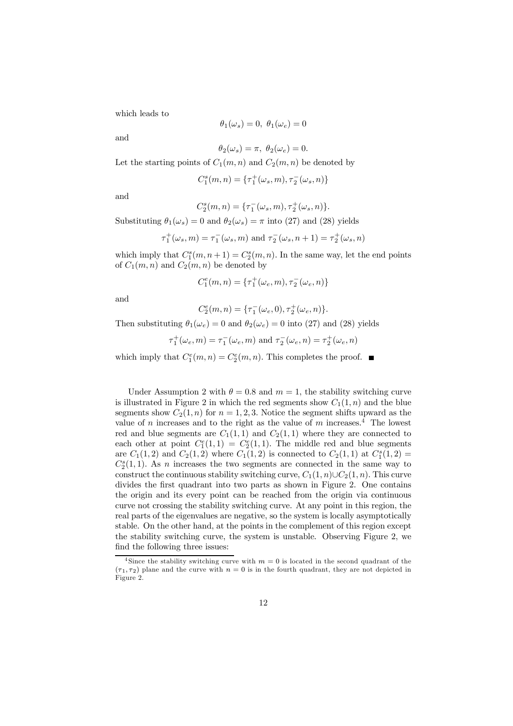which leads to

$$
\theta_1(\omega_s)=0,\ \theta_1(\omega_e)=0
$$

and

$$
\theta_2(\omega_s) = \pi, \ \theta_2(\omega_e) = 0.
$$

Let the starting points of  $C_1(m, n)$  and  $C_2(m, n)$  be denoted by

$$
C_1^s(m, n) = \{\tau_1^+(\omega_s, m), \tau_2^-(\omega_s, n)\}
$$

and

$$
C_2^s(m, n) = \{\tau_1^-(\omega_s, m), \tau_2^+(\omega_s, n)\}.
$$

Substituting  $\theta_1(\omega_s) = 0$  and  $\theta_2(\omega_s) = \pi$  into (27) and (28) yields

$$
\tau_1^+(\omega_s, m) = \tau_1^-(\omega_s, m)
$$
 and  $\tau_2^-(\omega_s, n + 1) = \tau_2^+(\omega_s, n)$ 

which imply that  $C_1^s(m, n+1) = C_2^s(m, n)$ . In the same way, let the end points of  $C_1(m, n)$  and  $C_2(m, n)$  be denoted by

$$
C_1^e(m, n) = \{\tau_1^+(\omega_e, m), \tau_2^-(\omega_e, n)\}
$$

and

$$
C_2^e(m,n) = \{\tau_1^-(\omega_e, 0), \tau_2^+(\omega_e, n)\}.
$$

Then substituting  $\theta_1(\omega_e) = 0$  and  $\theta_2(\omega_e) = 0$  into (27) and (28) yields

$$
\tau_1^+(\omega_e, m) = \tau_1^-(\omega_e, m)
$$
 and 
$$
\tau_2^-(\omega_e, n) = \tau_2^+(\omega_e, n)
$$

which imply that  $C_1^e(m, n) = C_2^e(m, n)$ . This completes the proof.

Under Assumption 2 with  $\theta = 0.8$  and  $m = 1$ , the stability switching curve is illustrated in Figure 2 in which the red segments show  $C_1(1, n)$  and the blue segments show  $C_2(1, n)$  for  $n = 1, 2, 3$ . Notice the segment shifts upward as the value of n increases and to the right as the value of m increases.<sup>4</sup> The lowest red and blue segments are  $C_1(1,1)$  and  $C_2(1,1)$  where they are connected to each other at point  $C_1^e(1,1) = C_2^e(1,1)$ . The middle red and blue segments are  $C_1(1,2)$  and  $C_2(1,2)$  where  $C_1(1,2)$  is connected to  $C_2(1,1)$  at  $C_1^s(1,2)$  =  $C_2^s(1,1)$ . As *n* increases the two segments are connected in the same way to construct the continuous stability switching curve,  $C_1(1, n) \cup C_2(1, n)$ . This curve divides the first quadrant into two parts as shown in Figure 2. One contains the origin and its every point can be reached from the origin via continuous curve not crossing the stability switching curve. At any point in this region, the real parts of the eigenvalues are negative, so the system is locally asymptotically stable. On the other hand, at the points in the complement of this region except the stability switching curve, the system is unstable. Observing Figure 2, we find the following three issues:

<sup>&</sup>lt;sup>4</sup> Since the stability switching curve with  $m = 0$  is located in the second quadrant of the  $(\tau_1, \tau_2)$  plane and the curve with  $n = 0$  is in the fourth quadrant, they are not depicted in Figure 2.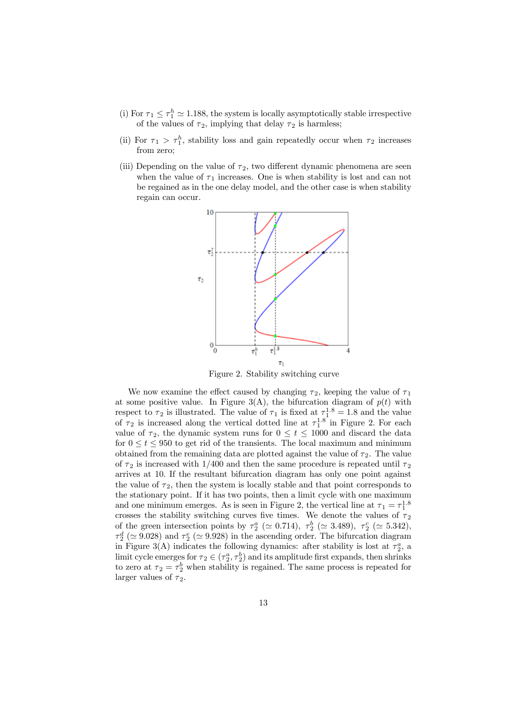- (i) For  $\tau_1 \leq \tau_1^h \approx 1.188$ , the system is locally asymptotically stable irrespective of the values of  $\tau_2$ , implying that delay  $\tau_2$  is harmless;
- (ii) For  $\tau_1 > \tau_1^h$ , stability loss and gain repeatedly occur when  $\tau_2$  increases from zero;
- (iii) Depending on the value of  $\tau_2$ , two different dynamic phenomena are seen when the value of  $\tau_1$  increases. One is when stability is lost and can not be regained as in the one delay model, and the other case is when stability regain can occur.



Figure 2. Stability switching curve

We now examine the effect caused by changing  $\tau_2$ , keeping the value of  $\tau_1$ at some positive value. In Figure 3(A), the bifurcation diagram of  $p(t)$  with respect to  $\tau_2$  is illustrated. The value of  $\tau_1$  is fixed at  $\tau_1^{1.8} = 1.8$  and the value of  $\tau_2$  is increased along the vertical dotted line at  $\tau_1^{1.8}$  in Figure 2. For each value of  $\tau_2$ , the dynamic system runs for  $0 \le t \le 1000$  and discard the data for  $0 \le t \le 950$  to get rid of the transients. The local maximum and minimum obtained from the remaining data are plotted against the value of  $\tau_2$ . The value of  $\tau_2$  is increased with 1/400 and then the same procedure is repeated until  $\tau_2$ arrives at 10. If the resultant bifurcation diagram has only one point against the value of  $\tau_2$ , then the system is locally stable and that point corresponds to the stationary point. If it has two points, then a limit cycle with one maximum and one minimum emerges. As is seen in Figure 2, the vertical line at  $\tau_1 = \tau_1^{1.8}$ crosses the stability switching curves five times. We denote the values of  $\tau_2$ of the green intersection points by  $\tau_2^a$  ( $\simeq 0.714$ ),  $\tau_2^b$  ( $\simeq 3.489$ ),  $\tau_2^c$  ( $\simeq 5.342$ ),  $\tau_2^d$  ( $\simeq$  9.028) and  $\tau_2^e$  ( $\simeq$  9.928) in the ascending order. The bifurcation diagram in Figure 3(A) indicates the following dynamics: after stability is lost at  $\tau_2^a$ , a limit cycle emerges for  $\tau_2 \in (\tau_2^a, \tau_2^b)$  and its amplitude first expands, then shrinks to zero at  $\tau_2 = \tau_2^b$  when stability is regained. The same process is repeated for larger values of  $\tau_2$ .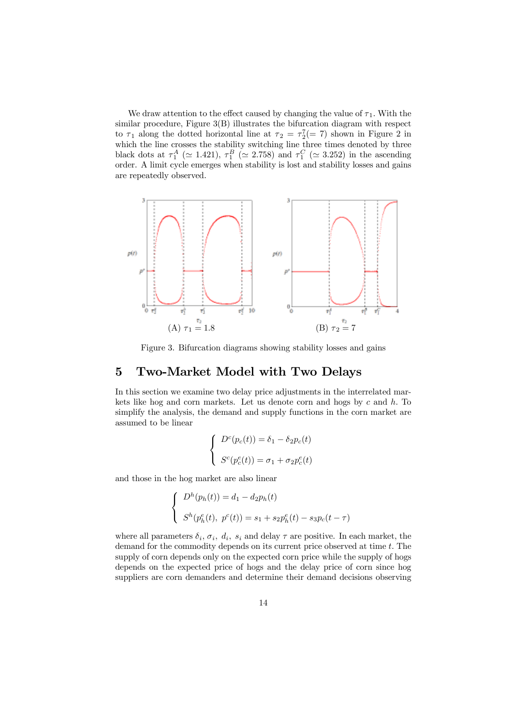We draw attention to the effect caused by changing the value of  $\tau_1$ . With the similar procedure, Figure 3(B) illustrates the bifurcation diagram with respect to  $\tau_1$  along the dotted horizontal line at  $\tau_2 = \tau_2^7(= 7)$  shown in Figure 2 in which the line crosses the stability switching line three times denoted by three black dots at  $\tau_1^A$  ( $\simeq$  1.421),  $\tau_1^B$  ( $\simeq$  2.758) and  $\tau_1^C$  ( $\simeq$  3.252) in the ascending order. A limit cycle emerges when stability is lost and stability losses and gains are repeatedly observed.



Figure 3. Bifurcation diagrams showing stability losses and gains

## 5 Two-Market Model with Two Delays

In this section we examine two delay price adjustments in the interrelated markets like hog and corn markets. Let us denote corn and hogs by  $c$  and  $h$ . To simplify the analysis, the demand and supply functions in the corn market are assumed to be linear

$$
\begin{cases}\nD^c(p_c(t)) = \delta_1 - \delta_2 p_c(t) \\
S^c(p_c^e(t)) = \sigma_1 + \sigma_2 p_c^e(t)\n\end{cases}
$$

and those in the hog market are also linear

$$
\begin{cases}\nD^h(p_h(t)) = d_1 - d_2p_h(t) \\
S^h(p_h^e(t), p^c(t)) = s_1 + s_2p_h^e(t) - s_3p_c(t - \tau)\n\end{cases}
$$

where all parameters  $\delta_i$ ,  $\sigma_i$ ,  $d_i$ ,  $s_i$  and delay  $\tau$  are positive. In each market, the demand for the commodity depends on its current price observed at time t. The supply of corn depends only on the expected corn price while the supply of hogs depends on the expected price of hogs and the delay price of corn since hog suppliers are corn demanders and determine their demand decisions observing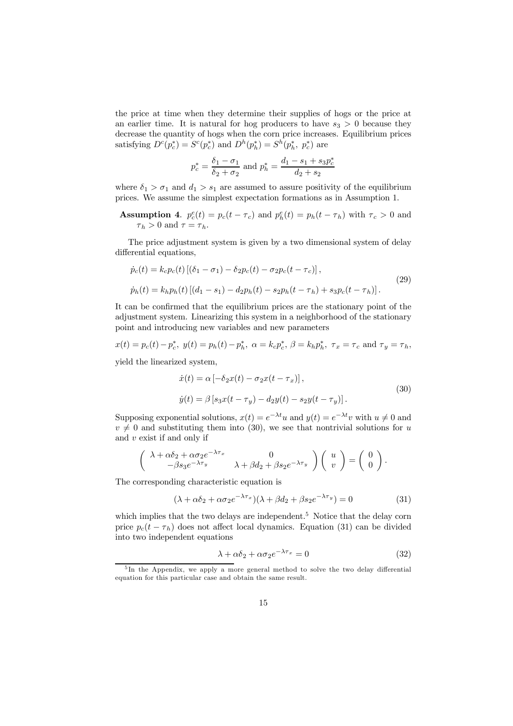the price at time when they determine their supplies of hogs or the price at an earlier time. It is natural for hog producers to have  $s_3 > 0$  because they decrease the quantity of hogs when the corn price increases. Equilibrium prices satisfying  $D^c(p_c^*) = S^c(p_c^*)$  and  $D^h(p_h^*) = S^h(p_h^*, p_c^*)$  are

$$
p_c^* = \frac{\delta_1 - \sigma_1}{\delta_2 + \sigma_2} \text{ and } p_h^* = \frac{d_1 - s_1 + s_3 p_c^*}{d_2 + s_2}
$$

where  $\delta_1 > \sigma_1$  and  $d_1 > s_1$  are assumed to assure positivity of the equilibrium prices. We assume the simplest expectation formations as in Assumption 1.

**Assumption 4.**  $p_c^e(t) = p_c(t - \tau_c)$  and  $p_h^e(t) = p_h(t - \tau_h)$  with  $\tau_c > 0$  and  $\tau_h > 0$  and  $\tau = \tau_h$ .

The price adjustment system is given by a two dimensional system of delay differential equations,

$$
\dot{p}_c(t) = k_c p_c(t) \left[ (\delta_1 - \sigma_1) - \delta_2 p_c(t) - \sigma_2 p_c(t - \tau_c) \right],
$$
\n
$$
\dot{p}_h(t) = k_h p_h(t) \left[ (d_1 - s_1) - d_2 p_h(t) - s_2 p_h(t - \tau_h) + s_3 p_c(t - \tau_h) \right].
$$
\n(29)

It can be confirmed that the equilibrium prices are the stationary point of the adjustment system. Linearizing this system in a neighborhood of the stationary point and introducing new variables and new parameters

$$
x(t) = p_c(t) - p_c^*,
$$
  $y(t) = p_h(t) - p_h^*,$   $\alpha = k_c p_c^*,$   $\beta = k_h p_h^*,$   $\tau_x = \tau_c$  and  $\tau_y = \tau_h$ ,

yield the linearized system,

$$
\begin{aligned} \dot{x}(t) &= \alpha \left[ -\delta_2 x(t) - \sigma_2 x(t - \tau_x) \right], \\ \dot{y}(t) &= \beta \left[ s_3 x(t - \tau_y) - d_2 y(t) - s_2 y(t - \tau_y) \right]. \end{aligned} \tag{30}
$$

Supposing exponential solutions,  $x(t) = e^{-\lambda t}u$  and  $y(t) = e^{-\lambda t}v$  with  $u \neq 0$  and  $v \neq 0$  and substituting them into (30), we see that nontrivial solutions for u and  $v$  exist if and only if

$$
\begin{pmatrix}\n\lambda + \alpha \delta_2 + \alpha \sigma_2 e^{-\lambda \tau_x} & 0 \\
-\beta s_3 e^{-\lambda \tau_y} & \lambda + \beta d_2 + \beta s_2 e^{-\lambda \tau_y}\n\end{pmatrix}\n\begin{pmatrix}\nu \\ v\end{pmatrix} = \begin{pmatrix}\n0 \\ 0\n\end{pmatrix}.
$$

The corresponding characteristic equation is

$$
(\lambda + \alpha \delta_2 + \alpha \sigma_2 e^{-\lambda \tau_x})(\lambda + \beta d_2 + \beta s_2 e^{-\lambda \tau_y}) = 0 \tag{31}
$$

which implies that the two delays are independent.<sup>5</sup> Notice that the delay corn price  $p_c(t - \tau_h)$  does not affect local dynamics. Equation (31) can be divided into two independent equations

$$
\lambda + \alpha \delta_2 + \alpha \sigma_2 e^{-\lambda \tau_x} = 0 \tag{32}
$$

<sup>&</sup>lt;sup>5</sup>In the Appendix, we apply a more general method to solve the two delay differential equation for this particular case and obtain the same result.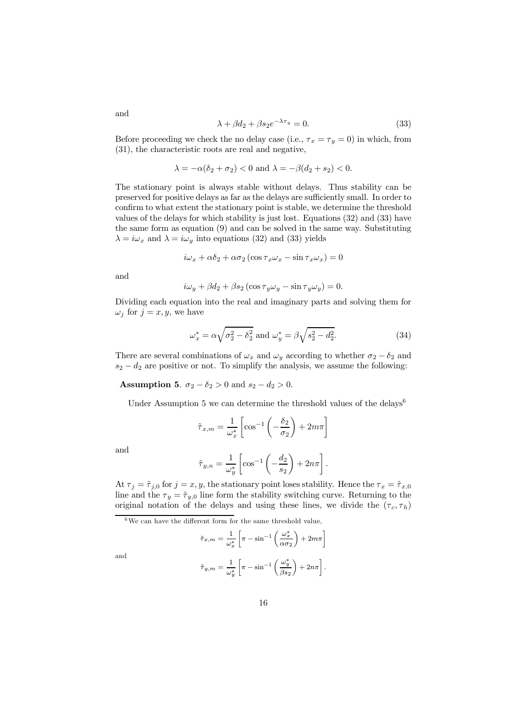$$
\lambda + \beta d_2 + \beta s_2 e^{-\lambda \tau_y} = 0. \tag{33}
$$

Before proceeding we check the no delay case (i.e.,  $\tau_x = \tau_y = 0$ ) in which, from (31), the characteristic roots are real and negative,

$$
\lambda = -\alpha(\delta_2 + \sigma_2) < 0
$$
 and  $\lambda = -\beta(d_2 + s_2) < 0$ .

The stationary point is always stable without delays. Thus stability can be preserved for positive delays as far as the delays are sufficiently small. In order to confirm to what extent the stationary point is stable, we determine the threshold values of the delays for which stability is just lost. Equations (32) and (33) have the same form as equation (9) and can be solved in the same way. Substituting  $\lambda = i\omega_x$  and  $\lambda = i\omega_y$  into equations (32) and (33) yields

$$
i\omega_x + \alpha \delta_2 + \alpha \sigma_2 (\cos \tau_x \omega_x - \sin \tau_x \omega_x) = 0
$$

and

$$
i\omega_y + \beta d_2 + \beta s_2 \left(\cos \tau_y \omega_y - \sin \tau_y \omega_y\right) = 0.
$$

Dividing each equation into the real and imaginary parts and solving them for  $\omega_j$  for  $j = x, y$ , we have

$$
\omega_x^* = \alpha \sqrt{\sigma_2^2 - \delta_2^2}
$$
 and  $\omega_y^* = \beta \sqrt{s_2^2 - d_2^2}$ . (34)

There are several combinations of  $\omega_x$  and  $\omega_y$  according to whether  $\sigma_2 - \delta_2$  and  $s_2 - d_2$  are positive or not. To simplify the analysis, we assume the following:

Assumption 5.  $\sigma_2 - \delta_2 > 0$  and  $s_2 - d_2 > 0$ .

Under Assumption 5 we can determine the threshold values of the delays<sup>6</sup>

$$
\tilde{\tau}_{x,m} = \frac{1}{\omega_x^*} \left[ \cos^{-1} \left( -\frac{\delta_2}{\sigma_2} \right) + 2m\pi \right]
$$

and

$$
\tilde{\tau}_{y,n} = \frac{1}{\omega_y^*} \left[ \cos^{-1} \left( -\frac{d_2}{s_2} \right) + 2n\pi \right].
$$

At  $\tau_j = \tilde{\tau}_{j,0}$  for  $j = x, y$ , the stationary point loses stability. Hence the  $\tau_x = \tilde{\tau}_{x,0}$ line and the  $\tau_y = \tilde{\tau}_{y,0}$  line form the stability switching curve. Returning to the original notation of the delays and using these lines, we divide the  $(\tau_c, \tau_h)$ 

 $6$ We can have the different form for the same threshold value,

$$
\tilde{\tau}_{x,m} = \frac{1}{\omega_x^*} \left[ \pi - \sin^{-1} \left( \frac{\omega_x^*}{\alpha \sigma_2} \right) + 2m\pi \right]
$$

$$
\tilde{\tau}_{y,m} = \frac{1}{\omega_y^*} \left[ \pi - \sin^{-1} \left( \frac{\omega_y^*}{\beta s_2} \right) + 2n\pi \right].
$$

and

and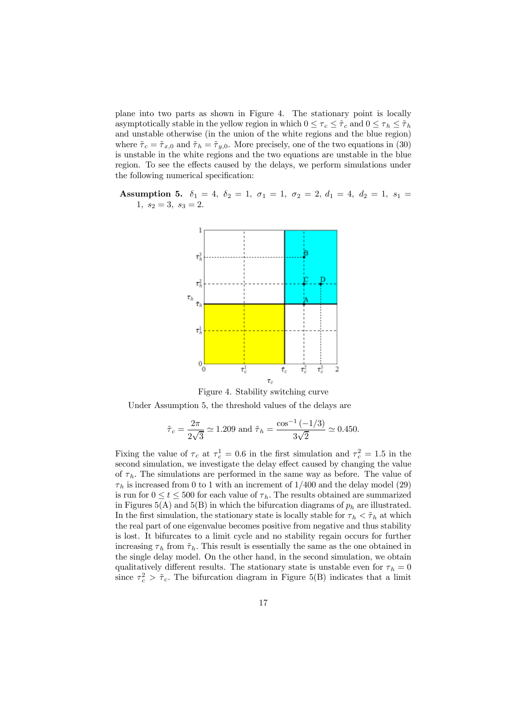plane into two parts as shown in Figure 4. The stationary point is locally asymptotically stable in the yellow region in which  $0 \leq \tau_c \leq \tilde{\tau}_c$  and  $0 \leq \tau_h \leq \tilde{\tau}_h$ and unstable otherwise (in the union of the white regions and the blue region) where  $\tilde{\tau}_c = \tilde{\tau}_{x,0}$  and  $\tilde{\tau}_h = \tilde{\tau}_{y,0}$ . More precisely, one of the two equations in (30) is unstable in the white regions and the two equations are unstable in the blue region. To see the effects caused by the delays, we perform simulations under the following numerical specification:

Assumption 5.  $\delta_1 = 4$ ,  $\delta_2 = 1$ ,  $\sigma_1 = 1$ ,  $\sigma_2 = 2$ ,  $d_1 = 4$ ,  $d_2 = 1$ ,  $s_1 =$ 1,  $s_2 = 3$ ,  $s_3 = 2$ .



Figure 4. Stability switching curve

Under Assumption 5, the threshold values of the delays are

$$
\tilde{\tau}_c = \frac{2\pi}{2\sqrt{3}} \simeq 1.209
$$
 and  $\tilde{\tau}_h = \frac{\cos^{-1}(-1/3)}{3\sqrt{2}} \simeq 0.450$ .

Fixing the value of  $\tau_c$  at  $\tau_c^1 = 0.6$  in the first simulation and  $\tau_c^2 = 1.5$  in the second simulation, we investigate the delay effect caused by changing the value of  $\tau_h$ . The simulations are performed in the same way as before. The value of  $\tau_h$  is increased from 0 to 1 with an increment of 1/400 and the delay model (29) is run for  $0 \le t \le 500$  for each value of  $\tau_h$ . The results obtained are summarized in Figures 5(A) and 5(B) in which the bifurcation diagrams of  $p<sub>h</sub>$  are illustrated. In the first simulation, the stationary state is locally stable for  $\tau_h < \tilde{\tau}_h$  at which the real part of one eigenvalue becomes positive from negative and thus stability is lost. It bifurcates to a limit cycle and no stability regain occurs for further increasing  $\tau_h$  from  $\tilde{\tau}_h$ . This result is essentially the same as the one obtained in the single delay model. On the other hand, in the second simulation, we obtain qualitatively different results. The stationary state is unstable even for  $\tau_h = 0$ since  $\tau_c^2 > \tilde{\tau}_c$ . The bifurcation diagram in Figure 5(B) indicates that a limit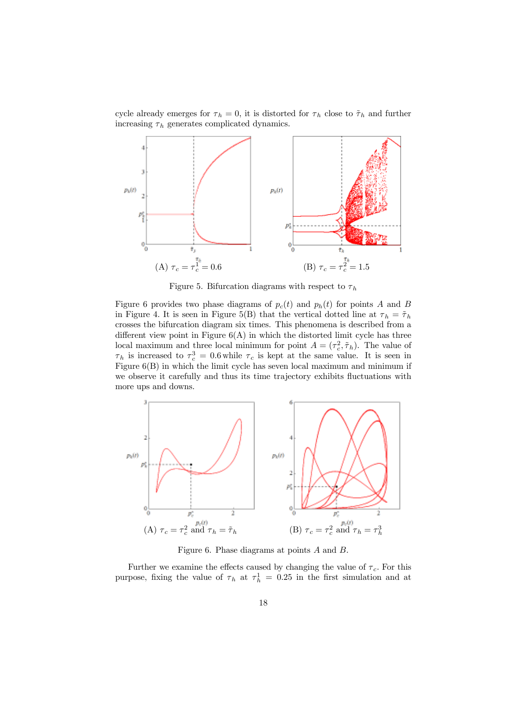cycle already emerges for  $\tau_h = 0$ , it is distorted for  $\tau_h$  close to  $\tilde{\tau}_h$  and further increasing  $\tau_h$  generates complicated dynamics.



Figure 5. Bifurcation diagrams with respect to  $\tau_h$ 

Figure 6 provides two phase diagrams of  $p_c(t)$  and  $p_h(t)$  for points A and B in Figure 4. It is seen in Figure 5(B) that the vertical dotted line at  $\tau_h = \tilde{\tau}_h$ crosses the bifurcation diagram six times. This phenomena is described from a different view point in Figure  $6(A)$  in which the distorted limit cycle has three local maximum and three local minimum for point  $A = (\tau_c^2, \tilde{\tau}_h)$ . The value of  $\tau_h$  is increased to  $\tau_c^3 = 0.6$  while  $\tau_c$  is kept at the same value. It is seen in Figure 6(B) in which the limit cycle has seven local maximum and minimum if we observe it carefully and thus its time trajectory exhibits fluctuations with more ups and downs.



Figure 6. Phase diagrams at points A and B.

Further we examine the effects caused by changing the value of  $\tau_c$ . For this purpose, fixing the value of  $\tau_h$  at  $\tau_h^1 = 0.25$  in the first simulation and at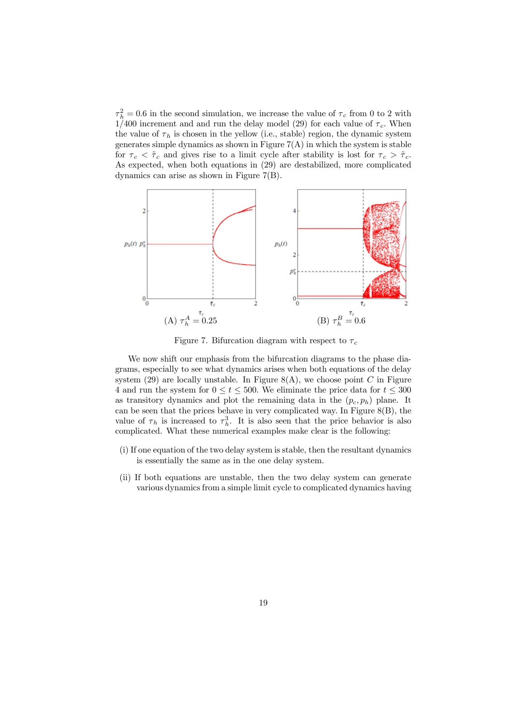$\tau_h^2 = 0.6$  in the second simulation, we increase the value of  $\tau_c$  from 0 to 2 with 1/400 increment and and run the delay model (29) for each value of  $\tau_c$ . When the value of  $\tau_h$  is chosen in the yellow (i.e., stable) region, the dynamic system generates simple dynamics as shown in Figure  $7(A)$  in which the system is stable for  $\tau_c < \tilde{\tau}_c$  and gives rise to a limit cycle after stability is lost for  $\tau_c > \tilde{\tau}_c$ . As expected, when both equations in (29) are destabilized, more complicated dynamics can arise as shown in Figure 7(B).



Figure 7. Bifurcation diagram with respect to  $\tau_c$ 

We now shift our emphasis from the bifurcation diagrams to the phase diagrams, especially to see what dynamics arises when both equations of the delay system (29) are locally unstable. In Figure  $8(A)$ , we choose point C in Figure 4 and run the system for  $0 \le t \le 500$ . We eliminate the price data for  $t \le 300$ as transitory dynamics and plot the remaining data in the  $(p_c, p_h)$  plane. It can be seen that the prices behave in very complicated way. In Figure  $8(B)$ , the value of  $\tau_h$  is increased to  $\tau_h^3$ . It is also seen that the price behavior is also complicated. What these numerical examples make clear is the following:

- (i) If one equation of the two delay system is stable, then the resultant dynamics is essentially the same as in the one delay system.
- (ii) If both equations are unstable, then the two delay system can generate various dynamics from a simple limit cycle to complicated dynamics having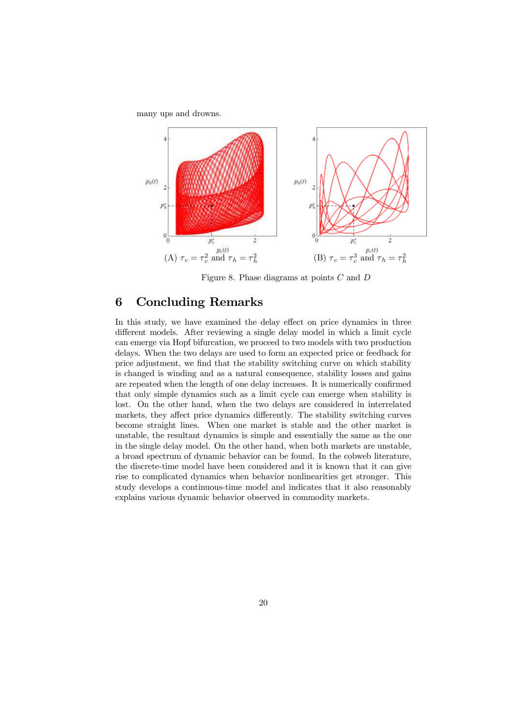many ups and drowns.



Figure 8. Phase diagrams at points C and D

# 6 Concluding Remarks

In this study, we have examined the delay effect on price dynamics in three different models. After reviewing a single delay model in which a limit cycle can emerge via Hopf bifurcation, we proceed to two models with two production delays. When the two delays are used to form an expected price or feedback for price adjustment, we find that the stability switching curve on which stability is changed is winding and as a natural consequence, stability losses and gains are repeated when the length of one delay increases. It is numerically confirmed that only simple dynamics such as a limit cycle can emerge when stability is lost. On the other hand, when the two delays are considered in interrelated markets, they affect price dynamics differently. The stability switching curves become straight lines. When one market is stable and the other market is unstable, the resultant dynamics is simple and essentially the same as the one in the single delay model. On the other hand, when both markets are unstable, a broad spectrum of dynamic behavior can be found. In the cobweb literature, the discrete-time model have been considered and it is known that it can give rise to complicated dynamics when behavior nonlinearities get stronger. This study develops a continuous-time model and indicates that it also reasonably explains various dynamic behavior observed in commodity markets.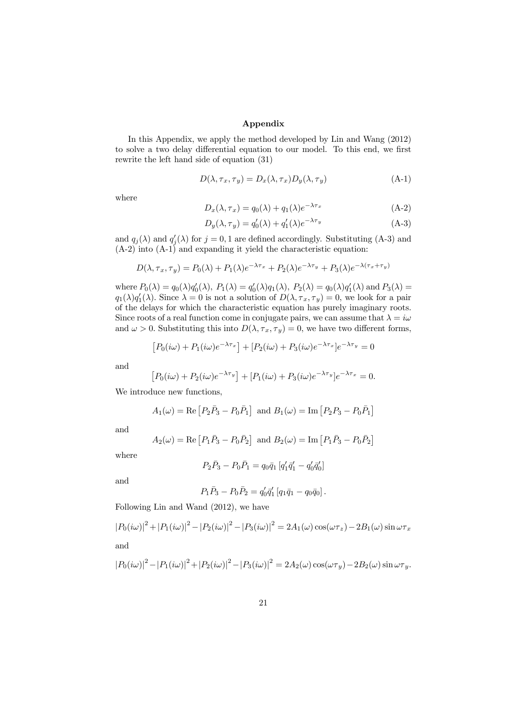#### Appendix

In this Appendix, we apply the method developed by Lin and Wang (2012) to solve a two delay differential equation to our model. To this end, we first rewrite the left hand side of equation (31)

$$
D(\lambda, \tau_x, \tau_y) = D_x(\lambda, \tau_x) D_y(\lambda, \tau_y)
$$
\n(A-1)

where

$$
D_x(\lambda, \tau_x) = q_0(\lambda) + q_1(\lambda)e^{-\lambda \tau_x}
$$
 (A-2)

$$
D_y(\lambda, \tau_y) = q'_0(\lambda) + q'_1(\lambda)e^{-\lambda \tau_y}
$$
 (A-3)

and  $q_j(\lambda)$  and  $q'_j(\lambda)$  for  $j=0,1$  are defined accordingly. Substituting (A-3) and  $(A-2)$  into  $(A-1)$  and expanding it yield the characteristic equation:

$$
D(\lambda, \tau_x, \tau_y) = P_0(\lambda) + P_1(\lambda)e^{-\lambda \tau_x} + P_2(\lambda)e^{-\lambda \tau_y} + P_3(\lambda)e^{-\lambda(\tau_x + \tau_y)}
$$

where  $P_0(\lambda) = q_0(\lambda)q'_0(\lambda)$ ,  $P_1(\lambda) = q'_0(\lambda)q_1(\lambda)$ ,  $P_2(\lambda) = q_0(\lambda)q'_1(\lambda)$  and  $P_3(\lambda) =$  $q_1(\lambda)q'_1(\lambda)$ . Since  $\lambda = 0$  is not a solution of  $D(\lambda, \tau_x, \tau_y) = 0$ , we look for a pair of the delays for which the characteristic equation has purely imaginary roots. Since roots of a real function come in conjugate pairs, we can assume that  $\lambda = i\omega$ and  $\omega > 0$ . Substituting this into  $D(\lambda, \tau_x, \tau_y) = 0$ , we have two different forms,

$$
[P_0(i\omega) + P_1(i\omega)e^{-\lambda \tau_x}] + [P_2(i\omega) + P_3(i\omega)e^{-\lambda \tau_x}]e^{-\lambda \tau_y} = 0
$$

and

$$
[P_0(i\omega) + P_2(i\omega)e^{-\lambda \tau_y}] + [P_1(i\omega) + P_3(i\omega)e^{-\lambda \tau_y}]e^{-\lambda \tau_x} = 0.
$$

We introduce new functions,

$$
A_1(\omega) = \text{Re} [P_2 \bar{P}_3 - P_0 \bar{P}_1]
$$
 and  $B_1(\omega) = \text{Im} [P_2 P_3 - P_0 \bar{P}_1]$ 

and

$$
A_2(\omega) = \text{Re}\left[P_1\bar{P}_3 - P_0\bar{P}_2\right]
$$
 and  $B_2(\omega) = \text{Im}\left[P_1\bar{P}_3 - P_0\bar{P}_2\right]$ 

where

$$
P_2\bar{P}_3 - P_0\bar{P}_1 = q_0\bar{q}_1 \left[ q'_1\bar{q}'_1 - q'_0\bar{q}'_0 \right]
$$

and

$$
P_1\bar{P}_3 - P_0\bar{P}_2 = q'_0\bar{q}'_1 [q_1\bar{q}_1 - q_0\bar{q}_0].
$$

Following Lin and Wand (2012), we have

$$
|P_0(i\omega)|^2 + |P_1(i\omega)|^2 - |P_2(i\omega)|^2 - |P_3(i\omega)|^2 = 2A_1(\omega)\cos(\omega\tau_z) - 2B_1(\omega)\sin\omega\tau_x
$$

and

$$
|P_0(i\omega)|^2 - |P_1(i\omega)|^2 + |P_2(i\omega)|^2 - |P_3(i\omega)|^2 = 2A_2(\omega)\cos(\omega \tau_y) - 2B_2(\omega)\sin \omega \tau_y.
$$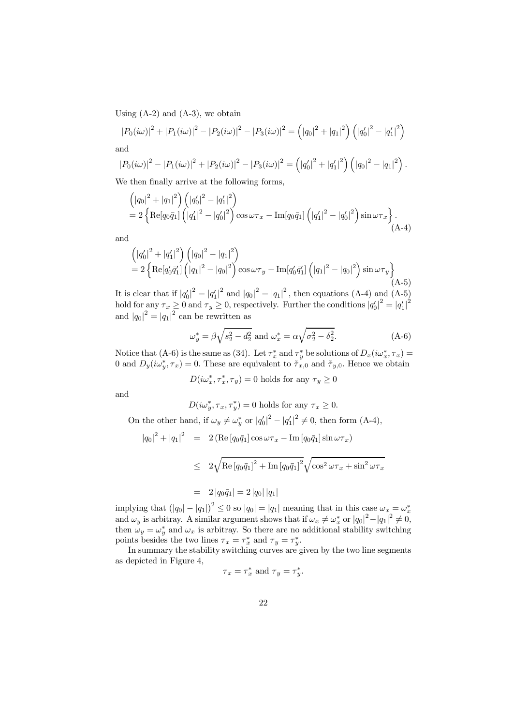Using  $(A-2)$  and  $(A-3)$ , we obtain

$$
|P_0(i\omega)|^2 + |P_1(i\omega)|^2 - |P_2(i\omega)|^2 - |P_3(i\omega)|^2 = (|q_0|^2 + |q_1|^2) (|q'_0|^2 - |q'_1|^2)
$$

and

$$
|P_0(i\omega)|^2 - |P_1(i\omega)|^2 + |P_2(i\omega)|^2 - |P_3(i\omega)|^2 = (|q'_0|^2 + |q'_1|^2) (|q_0|^2 - |q_1|^2).
$$

We then finally arrive at the following forms,

$$
\begin{aligned} &\left(|q_0|^2 + |q_1|^2\right) \left(|q'_0|^2 - |q'_1|^2\right) \\ &= 2 \left\{ \text{Re}[q_0 \bar{q}_1] \left(|q'_1|^2 - |q'_0|^2\right) \cos \omega \tau_x - \text{Im}[q_0 \bar{q}_1] \left(|q'_1|^2 - |q'_0|^2\right) \sin \omega \tau_x \right\}. \end{aligned} \tag{A-4}
$$

and

$$
\begin{aligned} &\left(|q'_0|^2 + |q'_1|^2\right) \left(|q_0|^2 - |q_1|^2\right) \\ &= 2 \left\{ \text{Re}[q'_0 \bar{q}'_1] \left(|q_1|^2 - |q_0|^2\right) \cos \omega \tau_y - \text{Im}[q'_0 \bar{q}'_1] \left(|q_1|^2 - |q_0|^2\right) \sin \omega \tau_y \right\} \end{aligned} \tag{A-5}
$$

It is clear that if  $|q'_0|^2 = |q'_1|^2$  and  $|q_0|^2 = |q_1|^2$ , then equations (A-4) and (A-5) hold for any  $\tau_x \ge 0$  and  $\tau_y \ge 0$ , respectively. Further the conditions  $|q'_0|^2 = |q'_1|^2$ and  $|q_0|^2 = |q_1|^2$  can be rewritten as

$$
\omega_y^* = \beta \sqrt{s_2^2 - d_2^2}
$$
 and  $\omega_x^* = \alpha \sqrt{\sigma_2^2 - \delta_2^2}$ . (A-6)

Notice that (A-6) is the same as (34). Let  $\tau_x^*$  and  $\tau_y^*$  be solutions of  $D_x(i\omega_x^*, \tau_x) =$ 0 and  $D_y(i\omega_y^*, \tau_x) = 0$ . These are equivalent to  $\tilde{\tau}_{x,0}$  and  $\tilde{\tau}_{y,0}$ . Hence we obtain

$$
D(i\omega_x^*,\tau_x^*,\tau_y)=0
$$
 holds for any  $\tau_y\geq 0$ 

and

$$
D(i\omega_y^*, \tau_x, \tau_y^*) = 0
$$
 holds for any  $\tau_x \ge 0$ .

On the other hand, if  $\omega_y \neq \omega_y^*$  or  $|q'_0|^2 - |q'_1|^2 \neq 0$ , then form (A-4),

$$
|q_0|^2 + |q_1|^2 = 2 \left( \text{Re} \left[ q_0 \bar{q}_1 \right] \cos \omega \tau_x - \text{Im} \left[ q_0 \bar{q}_1 \right] \sin \omega \tau_x \right)
$$
  
\n
$$
\leq 2 \sqrt{\text{Re} \left[ q_0 \bar{q}_1 \right]^2 + \text{Im} \left[ q_0 \bar{q}_1 \right]^2} \sqrt{\cos^2 \omega \tau_x + \sin^2 \omega \tau_x}
$$
  
\n
$$
= 2 |q_0 \bar{q}_1| = 2 |q_0| |q_1|
$$

implying that  $(|q_0| - |q_1|)^2 \leq 0$  so  $|q_0| = |q_1|$  meaning that in this case  $\omega_x = \omega_x^*$ and  $\omega_y$  is arbitray. A similar argument shows that if  $\omega_x \neq \omega_x^*$  or  $|q_0|^2 - |q_1|^2 \neq 0$ , then  $\omega_y = \omega_y^*$  and  $\omega_x$  is arbitray. So there are no additional stability switching points besides the two lines  $\tau_x = \tau_x^*$  and  $\tau_y = \tau_y^*$ .

In summary the stability switching curves are given by the two line segments as depicted in Figure 4,

$$
\tau_x = \tau_x^*
$$
 and  $\tau_y = \tau_y^*$ 

.